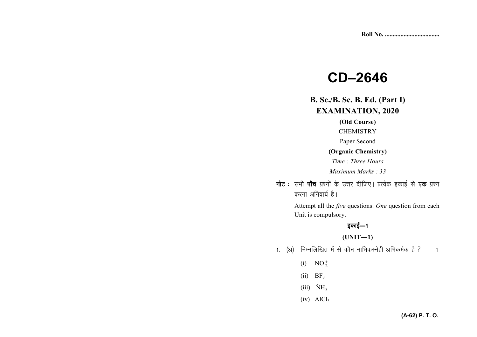# **CD-2646**

# **B. Sc./B. Sc. B. Ed. (Part I) EXAMINATION, 2020**

# (Old Course)

**CHEMISTRY** 

Paper Second

### (Organic Chemistry)

Time: Three Hours

Maximum Marks: 33

**नोट** : सभी **पाँच** प्रश्नों के उत्तर दीजिए। प्रत्येक इकाई से **एक** प्रश्न करना अनिवार्य है।

> Attempt all the *five* questions. One question from each Unit is compulsory.

# इकाई—1

# $(UNIT-1)$

- 1. (अ) निम्नलिखित में से कौन नाभिकस्नेही अभिकर्मक है ?  $\overline{1}$ 
	- (i)  $NO_2^+$
	- $(ii)$  BF<sub>3</sub>
	- $(iii)$   $\ddot{N}H_3$
	- $(iv)$  AlCl<sub>3</sub>

# (A-62) P. T. O.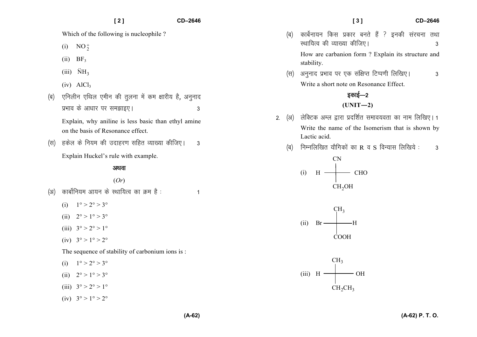- (i)  $NO_2^+$
- $(ii)$  BF<sub>3</sub>
- (iii)  $\ddot{\text{N}}\text{H}_3$
- $(iv)$  AlCl<sub>3</sub>
- *(*ब) एनिलीन एथिल एमीन की तुलना में कम क्षारीय है, अनुनाद *izHkko ds vk/kkj ij le>kb,A 3*

Explain, why aniline is less basic than ethyl amineon the basis of Resonance effect.

*¼l½ gdsy ds fu;e dh mnkgj.k lfgr O;k[;k dhft,A 3* 

Explain Huckel's rule with example.

### अथवा

# (*Or*)

- *¼v½ dkcksZfu;e vk;u ds LFkkf;Ro dk Øe gS % 1* 
	- (i)  $1^{\circ} > 2^{\circ} > 3^{\circ}$
	- (ii)  $2^{\circ} > 1^{\circ} > 3^{\circ}$
	- (iii)  $3^{\circ} > 2^{\circ} > 1^{\circ}$
	- (iv)  $3^{\circ} > 1^{\circ} > 2^{\circ}$

The sequence of stability of carbonium ions is :

- (i)  $1^{\circ} > 2^{\circ} > 3^{\circ}$
- (ii)  $2^{\circ} > 1^{\circ} > 3^{\circ}$
- (iii)  $3^{\circ} > 2^{\circ} > 1^{\circ}$
- (iv)  $3^{\circ} > 1^{\circ} > 2^{\circ}$
- **[ 3 ] CD–2646**
- *(*ब) कार्बेनायन किस प्रकार बनते हैं ? इनकी संरचना तथा *LFkkf;Ro dh O;k[;k dhft,A 3* How are carbanion form ? Explain its structure and stability.
- *¼l½ vuqukn izHkko ij ,d laf{kIr fVIi.kh fyf[k,A 3* Write a short note on Resonance Effect.

# **5काई—2**  $(UNIT-2)$

- 2. (अ) लेक्टिक अम्ल द्वारा प्रदर्शित समावयवता का नाम लिखिए। 1 Write the name of the Isomerism that is shown by Lactic acid.
	- *¼c½ fuEufyf[kr ;kSfxdksa dk* R *o* S *foU;kl fyf[k;s % 3*

$$
(i) \quad H \longrightarrow CHO
$$
\n
$$
CH_2OH
$$





**(A-62) P. T. O.**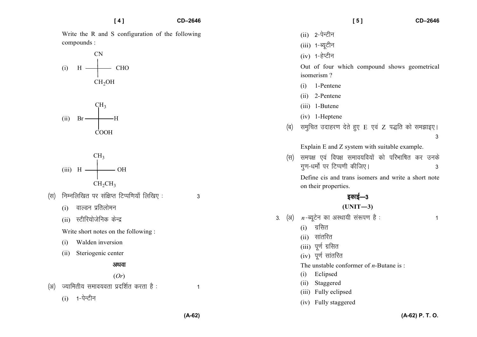Write the R and S configuration of the following compounds:

 $[4]$ 

$$
(i) \quad H \longrightarrow CHO
$$
\n
$$
CH2OH
$$





- निम्नलिखित पर संक्षिप्त टिप्पणियाँ लिखिए:  $(F)$ 
	- वाल्डन प्रतिलोमन  $(i)$
	- (ii) स्टीरियोजेनिक केन्द्र
	- Write short notes on the following :
	- Walden inversion  $(i)$
	- (ii) Steriogenic center

#### अथवा

 $(Or)$ 

- ज्यामितीय समावयवता प्रदर्शित करता है :  $(3)$ 
	- $(i)$  1-पेन्टीन

 $151$ 

- $(ii)$  2-पेन्टीन
- $(iii)$  1-ब्यूटीन
- $(iv)$  1-हेप्टीन

Out of four which compound shows geometrical isomerism?

- 1-Pentene  $(i)$
- $(ii)$  2-Pentene
- (iii) 1-Butene
- $(iv)$  1-Heptene
- समुचित उदाहरण देते हुए E एवं Z पद्धति को समझाइए। (ब)  $\overline{3}$

Explain E and Z system with suitable example.

समपक्ष एवं विपक्ष समावयवियों को परिभाषित कर उनके (स) गण-धर्मों पर टिप्पणी कीजिए। 3

Define cis and trans isomers and write a short note on their properties.

# इकाई—3

# $(UNIT-3)$

3. (अ)  $n-$ ब्यूटेन का अस्थायी संरूपण है:

 $\mathbf{1}$ 

- $(i)$  ग्रसित
- $(ii)$  सांतरित
- (iii) पूर्ण ग्रसित
- $(iv)$  पूर्ण सांतरित
- The unstable conformer of  $n$ -Butane is:
- (i) Eclipsed
- (ii) Staggered
- (iii) Fully eclipsed
- (iv) Fully staggered

 $\overline{1}$ 

 $\overline{3}$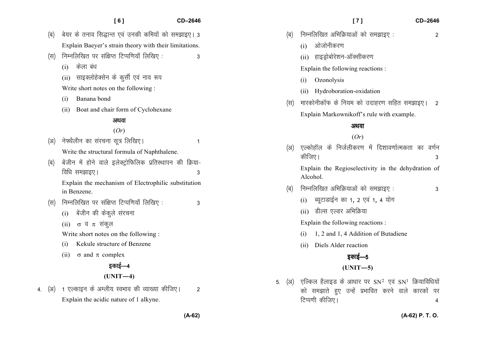|     | [7]<br>CD-2646                                                                                                                                                |
|-----|---------------------------------------------------------------------------------------------------------------------------------------------------------------|
| (ৰ) | निम्नलिखित अभिक्रियाओं को समझाइए:<br>2                                                                                                                        |
|     | ओजोनीकरण<br>(i)                                                                                                                                               |
|     | हाइड्रोबोरेशन-ऑक्सीकरण<br>(ii)                                                                                                                                |
|     | Explain the following reactions :                                                                                                                             |
|     | Ozonolysis<br>(i)                                                                                                                                             |
|     | Hydroboration-oxidation<br>(ii)                                                                                                                               |
| (स) | मारकोनीकॉफ के नियम को उदाहरण सहित समझाइए।<br>$\overline{2}$                                                                                                   |
|     | Explain Markownikoff's rule with example.                                                                                                                     |
|     | अथवा                                                                                                                                                          |
|     | (Or)                                                                                                                                                          |
| (3) | एल्कोहॉल के निर्जलीकरण में दिशावर्णात्मकता का वर्णन<br>कीजिए।<br>3                                                                                            |
|     | Explain the Regioselectivity in the dehydration of<br>Alcohol.                                                                                                |
| (ৰ) | निम्नलिखित अभिक्रियाओं को समझाइए:<br>3                                                                                                                        |
|     | ब्यूटाडाईन का 1, 2 एवं 1, 4 योग<br>(i)                                                                                                                        |
|     | डील्स एल्डर अभिक्रिया<br>(ii)                                                                                                                                 |
|     | Explain the following reactions :                                                                                                                             |
|     | 1, 2 and 1, 4 Addition of Butadiene<br>(i)                                                                                                                    |
|     | Diels Alder reaction<br>(ii)                                                                                                                                  |
|     | इकाई—5                                                                                                                                                        |
|     | $(UNIT-5)$                                                                                                                                                    |
|     | 5. (अ) एल्किल हैलाइड के आधार पर SN <sup>2</sup> एवं SN <sup>1</sup> क्रियाविधियों<br>को समझाते हुए उन्हें प्रभावित करने वाले कारकों पर<br>टिप्पणी कीजिए।<br>4 |

*¼c½ cs;j ds ruko fl)kUr ,oa mudh dfe;ksa dks le>kb,A 3* 

 **[ 6 ] CD–2646** 

Explain Baeyer's strain theory with their limitations.

(स) निम्नलिखित पर संक्षिप्त टिप्पणियाँ लिखिए : 3

(i) *dsyk ca/k*

(ii) *lkbDyksgsDlsu ds dqlhZ ,oa uko :i*

Write short notes on the following :

- (i) Banana bond
- (ii) Boat and chair form of Cyclohexane

#### अथवा

### (*Or*)

*¼v½ us¶FkSyhu dk lajpuk lw= fyf[k,A 1* Write the structural formula of Naphthalene. *¼c½ csathu esa gksus okys bysDVªksfQfyd izfrLFkkiu dh fØ;k*&*f f*<sub>6</sub> *k d*<sup>6</sup> *k k d*<sup>6</sup> *k d*<sup>6</sup> *k d*<sup>6</sup> *k d*<sup>6</sup> *k d*<sup>6</sup> *k d*<sup>6</sup> *k d*<sup>6</sup> *k d*<sup>6</sup> *d*<sup>6</sup> *k d*<sup>6</sup> *d*<sup>6</sup> *d*<sup>6</sup> *d*<sup>6</sup> *d*<sup>6</sup> *d*<sup>6</sup> *d*<sup>6</sup> *d*<sup>6</sup> *d*<sup>6</sup> *d*<sup>6</sup> *d*<sup>6</sup> *d*<sup>6</sup> *d*<sup>6</sup> *d* 

Explain the mechanism of Electrophilic substitutionin Benzene.

- *¼l½ fuEufyf[kr ij laf{kIr fVIif.k;k¡ fyf[k, % 3* 
	- (i) *csathu dh dsdqys lajpuk*
	- (ii)σ *o* π *ladqy*

Write short notes on the following :

- (i) Kekule structure of Benzene
- (ii)  $\sigma$  and  $\pi$  complex

# *bdkbZ*&*<sup>4</sup>*

#### **(UNIT—4)**

4. (अ) 1 एल्काइन के अम्लीय स्वभाव की व्याख्या कीजिए। 2 Explain the acidic nature of 1 alkyne.